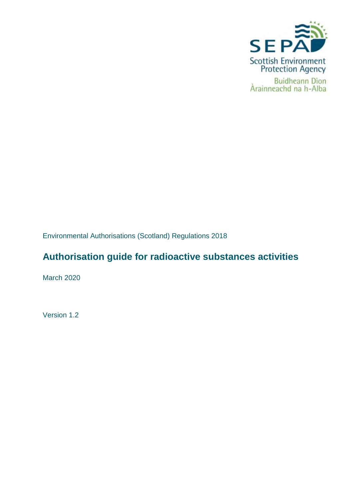

Environmental Authorisations (Scotland) Regulations 2018

# **Authorisation guide for radioactive substances activities**

March 2020

Version 1.2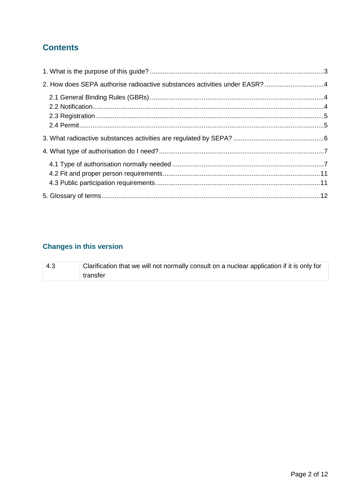## **Contents**

| 2. How does SEPA authorise radioactive substances activities under EASR? 4 |  |
|----------------------------------------------------------------------------|--|
|                                                                            |  |
|                                                                            |  |
|                                                                            |  |
|                                                                            |  |
|                                                                            |  |
|                                                                            |  |

## **Changes in this version**

| ∣ 4.3 | Clarification that we will not normally consult on a nuclear application if it is only for |  |
|-------|--------------------------------------------------------------------------------------------|--|
|       | transfer                                                                                   |  |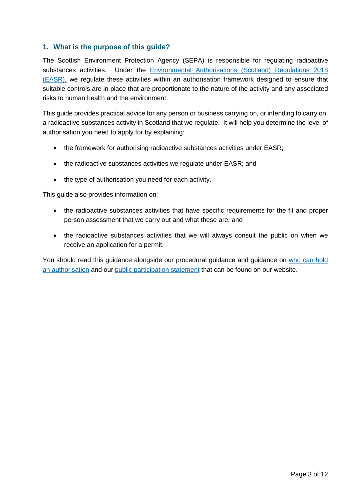## <span id="page-2-0"></span>**1. What is the purpose of this guide?**

The Scottish Environment Protection Agency (SEPA) is responsible for regulating radioactive substances activities. Under the [Environmental Authorisations \(Scotland\) Regulations 2018](http://www.legislation.gov.uk/ssi/2018/219/contents/made) (EASR), [we regulate these activities within an authorisation framework designed to ensure that](http://www.legislation.gov.uk/ssi/2018/219/contents/made) suitable controls are in place that are proportionate to the nature of the activity and any associated risks to human health and the environment.

This guide provides practical advice for any person or business carrying on, or intending to carry on, a radioactive substances activity in Scotland that we regulate. It will help you determine the level of authorisation you need to apply for by explaining:

- the framework for authorising radioactive substances activities under EASR;
- the radioactive substances activities we regulate under EASR; and
- the type of authorisation you need for each activity.

This guide also provides information on:

- the radioactive substances activities that have specific requirements for the fit and proper person assessment that we carry out and what these are; and
- the radioactive substances activities that we will always consult the public on when we receive an application for a permit.

You should read this guidance alongside our procedural guidance and guidance on [who can hold](https://www.sepa.org.uk/media/372007/guidance_on_who_can_hold_an_authorisation.pdf) an authorisation and our [public participation statement](https://www.sepa.org.uk/media/372006/public_articipation_statement.pdf) [that can be found on our website.](https://www.sepa.org.uk/media/372007/guidance_on_who_can_hold_an_authorisation.pdf)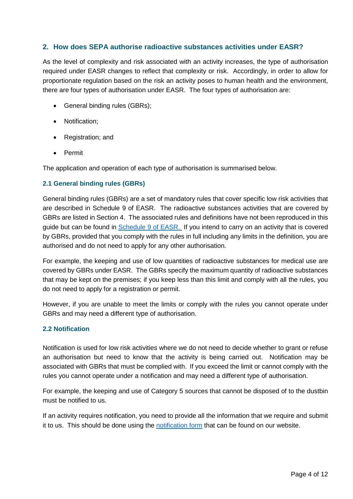## **2. How does SEPA authorise radioactive substances activities under EASR?**

As the level of complexity and risk associated with an activity increases, the type of authorisation required under EASR changes to reflect that complexity or risk. Accordingly, in order to allow for proportionate regulation based on the risk an activity poses to human health and the environment, there are four types of authorisation under EASR. The four types of authorisation are:

- <span id="page-3-0"></span>• General binding rules (GBRs);
- Notification:
- Registration; and
- <span id="page-3-1"></span>• Permit

The application and operation of each type of authorisation is summarised below.

#### **2.1 General binding rules (GBRs)**

General binding rules (GBRs) are a set of mandatory rules that cover specific low risk activities that are described in Schedule 9 of EASR. The radioactive substances activities that are covered by GBRs are listed in Section 4. The associated rules and definitions have not been reproduced in this guide but can be found in [Schedule 9 of EASR.](http://www.legislation.gov.uk/ssi/2018/219/schedule/9/made) If you intend to carry on an activity that is covered by GBRs, provided that you comply with the rules in full including any limits in the definition, you are authorised and do not need to apply for any other authorisation.

For example, the keeping and use of low quantities of radioactive substances for medical use are covered by GBRs under EASR. The GBRs specify the maximum quantity of radioactive substances that may be kept on the premises; if you keep less than this limit and comply with all the rules, you do not need to apply for a registration or permit.

However, if you are unable to meet the limits or comply with the rules you cannot operate under GBRs and may need a different type of authorisation.

#### <span id="page-3-2"></span>**2.2 Notification**

Notification is used for low risk activities where we do not need to decide whether to grant or refuse an authorisation but need to know that the activity is being carried out. Notification may be associated with GBRs that must be complied with. If you exceed the limit or cannot comply with the rules you cannot operate under a notification and may need a different type of authorisation.

For example, the keeping and use of Category 5 sources that cannot be disposed of to the dustbin must be notified to us.

If an activity requires notification, you need to provide all the information that we require and submit it to us. This should be done using the [notification form](https://www.sepa.org.uk/regulations/authorisations-and-permits/application-forms/) that can be found on our website.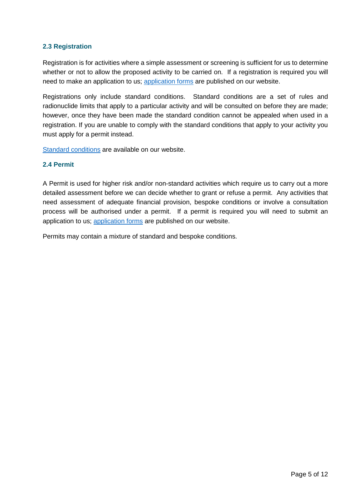#### <span id="page-4-0"></span>**2.3 Registration**

Registration is for activities where a simple assessment or screening is sufficient for us to determine whether or not to allow the proposed activity to be carried on. If a registration is required you will need to make an application to us; [application forms](https://www.sepa.org.uk/regulations/authorisations-and-permits/application-forms/) are published on our website.

Registrations only include standard conditions. Standard conditions are a set of rules and radionuclide limits that apply to a particular activity and will be consulted on before they are made; however, once they have been made the standard condition cannot be appealed when used in a registration. If you are unable to comply with the standard conditions that apply to your activity you must apply for a permit instead.

[Standard conditions](https://www.sepa.org.uk/media/372003/easr-standard-conditions.pdf) are available on our website.

#### <span id="page-4-1"></span>**2.4 Permit**

A Permit is used for higher risk and/or non-standard activities which require us to carry out a more detailed assessment before we can decide whether to grant or refuse a permit. Any activities that need assessment of adequate financial provision, bespoke conditions or involve a consultation process will be authorised under a permit. If a permit is required you will need to submit an application to us; [application forms](https://www.sepa.org.uk/regulations/authorisations-and-permits/application-forms/) are published on our website.

Permits may contain a mixture of standard and bespoke conditions.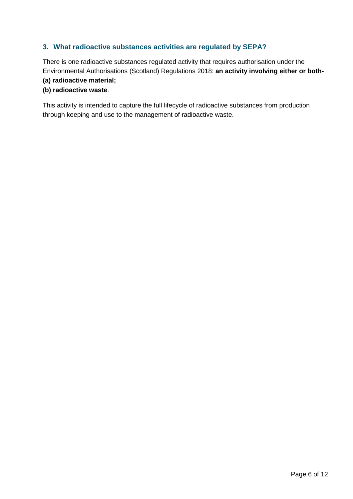## <span id="page-5-0"></span>**3. What radioactive substances activities are regulated by SEPA?**

There is one radioactive substances regulated activity that requires authorisation under the Environmental Authorisations (Scotland) Regulations 2018: **an activity involving either or both- (a) radioactive material;**

#### **(b) radioactive waste**.

This activity is intended to capture the full lifecycle of radioactive substances from production through keeping and use to the management of radioactive waste.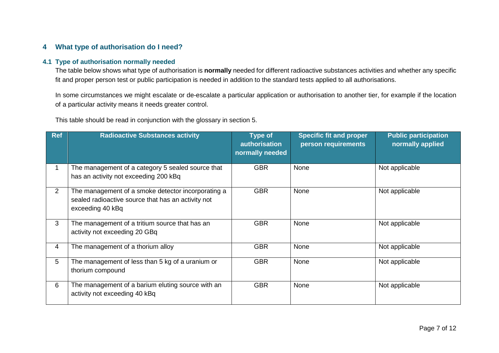### **4 What type of authorisation do I need?**

#### **4.1 Type of authorisation normally needed**

The table below shows what type of authorisation is **normally** needed for different radioactive substances activities and whether any specific fit and proper person test or public participation is needed in addition to the standard tests applied to all authorisations.

In some circumstances we might escalate or de-escalate a particular application or authorisation to another tier, for example if the location of a particular activity means it needs greater control.

<span id="page-6-1"></span><span id="page-6-0"></span>This table should be read in conjunction with the glossary in section 5.

| <b>Ref</b>     | <b>Radioactive Substances activity</b>                                                                                       | <b>Type of</b><br>authorisation<br>normally needed | <b>Specific fit and proper</b><br>person requirements | <b>Public participation</b><br>normally applied |
|----------------|------------------------------------------------------------------------------------------------------------------------------|----------------------------------------------------|-------------------------------------------------------|-------------------------------------------------|
| 1              | The management of a category 5 sealed source that<br>has an activity not exceeding 200 kBq                                   | <b>GBR</b>                                         | None                                                  | Not applicable                                  |
| $\overline{2}$ | The management of a smoke detector incorporating a<br>sealed radioactive source that has an activity not<br>exceeding 40 kBq | <b>GBR</b>                                         | None                                                  | Not applicable                                  |
| 3              | The management of a tritium source that has an<br>activity not exceeding 20 GBq                                              | <b>GBR</b>                                         | None                                                  | Not applicable                                  |
| 4              | The management of a thorium alloy                                                                                            | <b>GBR</b>                                         | None                                                  | Not applicable                                  |
| 5              | The management of less than 5 kg of a uranium or<br>thorium compound                                                         | <b>GBR</b>                                         | None                                                  | Not applicable                                  |
| 6              | The management of a barium eluting source with an<br>activity not exceeding 40 kBq                                           | <b>GBR</b>                                         | None                                                  | Not applicable                                  |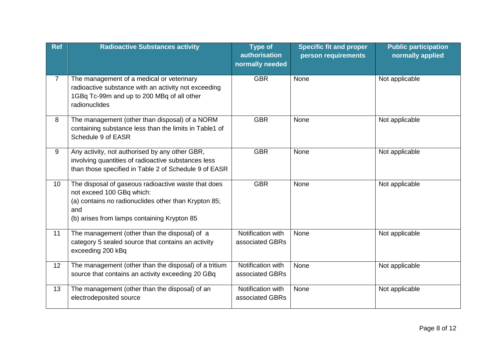| <b>Ref</b>     | <b>Radioactive Substances activity</b>                                                                                                                                                         | <b>Type of</b><br><b>authorisation</b><br>normally needed | <b>Specific fit and proper</b><br>person requirements | <b>Public participation</b><br>normally applied |
|----------------|------------------------------------------------------------------------------------------------------------------------------------------------------------------------------------------------|-----------------------------------------------------------|-------------------------------------------------------|-------------------------------------------------|
| $\overline{7}$ | The management of a medical or veterinary<br>radioactive substance with an activity not exceeding<br>1GBq Tc-99m and up to 200 MBq of all other<br>radionuclides                               | <b>GBR</b>                                                | None                                                  | Not applicable                                  |
| 8              | The management (other than disposal) of a NORM<br>containing substance less than the limits in Table1 of<br>Schedule 9 of EASR                                                                 | <b>GBR</b>                                                | None                                                  | Not applicable                                  |
| 9              | Any activity, not authorised by any other GBR,<br>involving quantities of radioactive substances less<br>than those specified in Table 2 of Schedule 9 of EASR                                 | <b>GBR</b>                                                | None                                                  | Not applicable                                  |
| 10             | The disposal of gaseous radioactive waste that does<br>not exceed 100 GBq which:<br>(a) contains no radionuclides other than Krypton 85;<br>and<br>(b) arises from lamps containing Krypton 85 | <b>GBR</b>                                                | None                                                  | Not applicable                                  |
| 11             | The management (other than the disposal) of a<br>category 5 sealed source that contains an activity<br>exceeding 200 kBq                                                                       | Notification with<br>associated GBRs                      | None                                                  | Not applicable                                  |
| 12             | The management (other than the disposal) of a tritium<br>source that contains an activity exceeding 20 GBq                                                                                     | Notification with<br>associated GBRs                      | None                                                  | Not applicable                                  |
| 13             | The management (other than the disposal) of an<br>electrodeposited source                                                                                                                      | Notification with<br>associated GBRs                      | None                                                  | Not applicable                                  |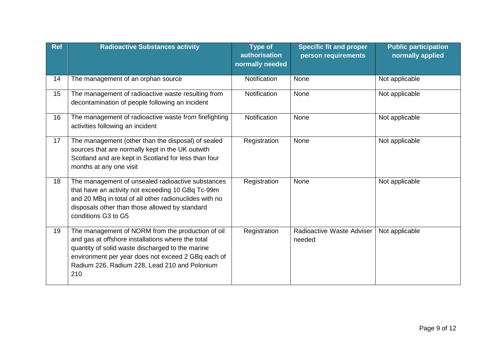| <b>Ref</b> | <b>Radioactive Substances activity</b>                                                                                                                                                                                                                                   | <b>Type of</b><br><b>authorisation</b><br>normally needed | <b>Specific fit and proper</b><br>person requirements | <b>Public participation</b><br>normally applied |
|------------|--------------------------------------------------------------------------------------------------------------------------------------------------------------------------------------------------------------------------------------------------------------------------|-----------------------------------------------------------|-------------------------------------------------------|-------------------------------------------------|
| 14         | The management of an orphan source                                                                                                                                                                                                                                       | <b>Notification</b>                                       | None                                                  | Not applicable                                  |
| 15         | The management of radioactive waste resulting from<br>decontamination of people following an incident                                                                                                                                                                    | Notification                                              | None                                                  | Not applicable                                  |
| 16         | The management of radioactive waste from firefighting<br>activities following an incident                                                                                                                                                                                | Notification                                              | None                                                  | Not applicable                                  |
| 17         | The management (other than the disposal) of sealed<br>sources that are normally kept in the UK outwith<br>Scotland and are kept in Scotland for less than four<br>months at any one visit                                                                                | Registration                                              | None                                                  | Not applicable                                  |
| 18         | The management of unsealed radioactive substances<br>that have an activity not exceeding 10 GBq Tc-99m<br>and 20 MBq in total of all other radionuclides with no<br>disposals other than those allowed by standard<br>conditions G3 to G5                                | Registration                                              | None                                                  | Not applicable                                  |
| 19         | The management of NORM from the production of oil<br>and gas at offshore installations where the total<br>quantity of solid waste discharged to the marine<br>environment per year does not exceed 2 GBq each of<br>Radium 226, Radium 228, Lead 210 and Polonium<br>210 | Registration                                              | Radioactive Waste Adviser<br>needed                   | Not applicable                                  |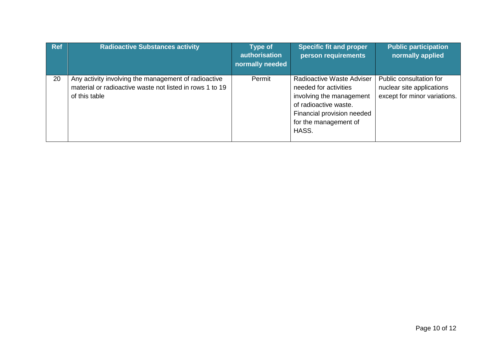| <b>Ref</b> | <b>Radioactive Substances activity</b>                                                                                            | <b>Type of</b><br>authorisation<br>normally needed | <b>Specific fit and proper</b><br>person requirements                                                                                                                   | <b>Public participation</b><br>normally applied                                      |
|------------|-----------------------------------------------------------------------------------------------------------------------------------|----------------------------------------------------|-------------------------------------------------------------------------------------------------------------------------------------------------------------------------|--------------------------------------------------------------------------------------|
| 20         | Any activity involving the management of radioactive<br>material or radioactive waste not listed in rows 1 to 19<br>of this table | Permit                                             | Radioactive Waste Adviser<br>needed for activities<br>involving the management<br>of radioactive waste.<br>Financial provision needed<br>for the management of<br>HASS. | Public consultation for<br>nuclear site applications<br>except for minor variations. |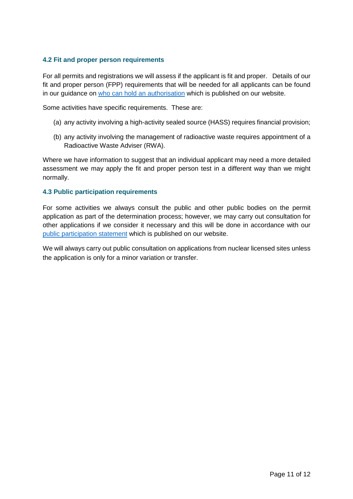#### <span id="page-10-0"></span>**4.2 Fit and proper person requirements**

For all permits and registrations we will assess if the applicant is fit and proper. Details of our fit and proper person (FPP) requirements that will be needed for all applicants can be found in our guidance on [who can hold an authorisation](https://www.sepa.org.uk/media/372007/guidance_on_who_can_hold_an_authorisation.pdf) which is published on our website.

Some activities have specific requirements. These are:

- (a) any activity involving a high-activity sealed source (HASS) requires financial provision;
- (b) any activity involving the management of radioactive waste requires appointment of a Radioactive Waste Adviser (RWA).

Where we have information to suggest that an individual applicant may need a more detailed assessment we may apply the fit and proper person test in a different way than we might normally.

#### <span id="page-10-1"></span>**4.3 Public participation requirements**

For some activities we always consult the public and other public bodies on the permit application as part of the determination process; however, we may carry out consultation for other applications if we consider it necessary and this will be done in accordance with our [public participation statement](https://www.sepa.org.uk/media/372006/public_articipation_statement.pdf) which is published on our website.

We will always carry out public consultation on applications from nuclear licensed sites unless the application is only for a minor variation or transfer.